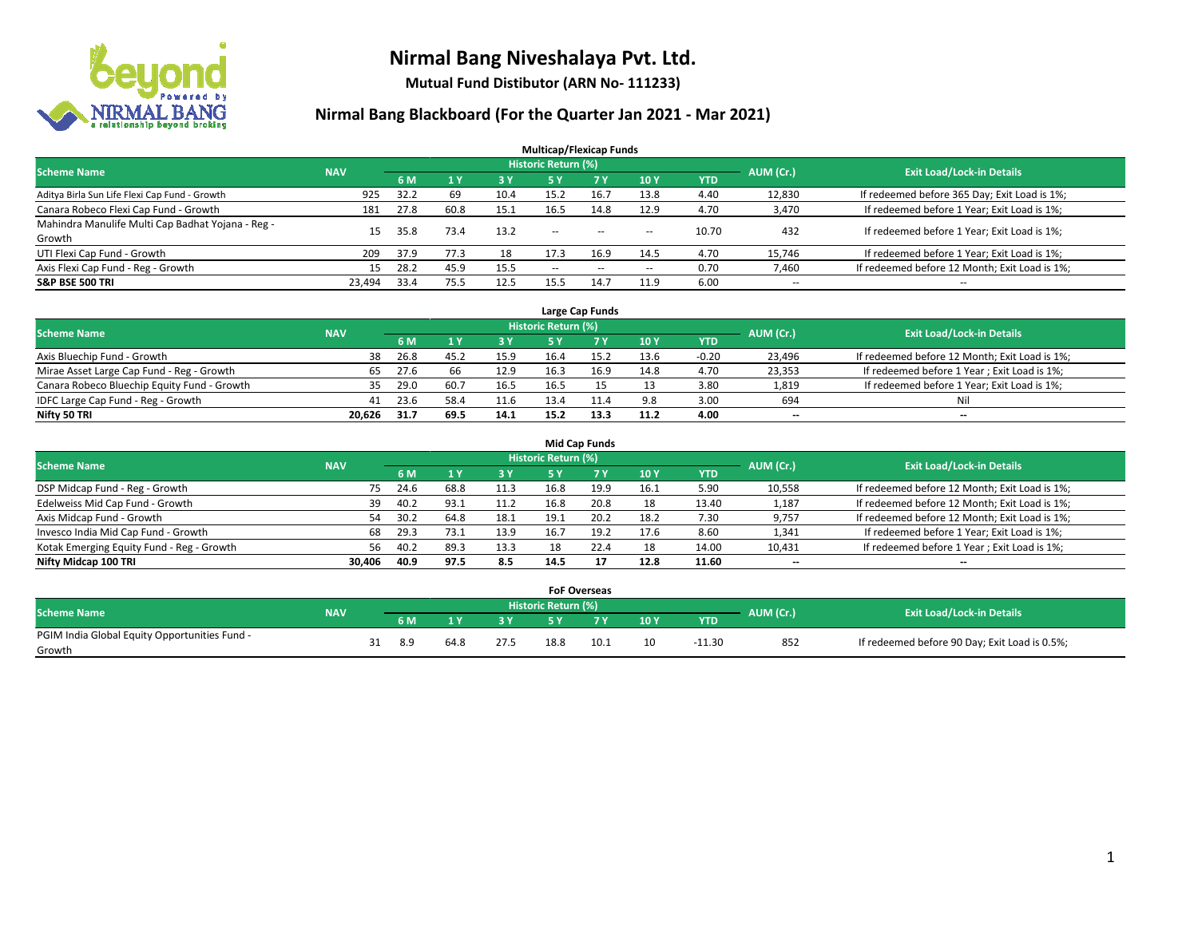

**Mutual Fund Distibutor (ARN No- 111233)**

| <b>Multicap/Flexicap Funds</b>                    |            |      |      |            |                            |        |                          |            |                          |                                               |  |  |  |
|---------------------------------------------------|------------|------|------|------------|----------------------------|--------|--------------------------|------------|--------------------------|-----------------------------------------------|--|--|--|
| <b>Scheme Name</b>                                | <b>NAV</b> |      |      |            | <b>Historic Return (%)</b> |        |                          |            | AUM (Cr.)                | <b>Exit Load/Lock-in Details</b>              |  |  |  |
|                                                   |            | 6 M  |      | <b>3 Y</b> | 5 Y                        | 7 Y    | 10Y                      | <b>YTD</b> |                          |                                               |  |  |  |
| Aditya Birla Sun Life Flexi Cap Fund - Growth     | 925        | 32.2 | 69   | 10.4       | 15.2                       | 16.7   | 13.8                     | 4.40       | 12,830                   | If redeemed before 365 Day; Exit Load is 1%;  |  |  |  |
| Canara Robeco Flexi Cap Fund - Growth             | 181        | 27.8 | 60.8 | 15.1       | 16.5                       | 14.8   | 12.9                     | 4.70       | 3,470                    | If redeemed before 1 Year; Exit Load is 1%;   |  |  |  |
| Mahindra Manulife Multi Cap Badhat Yojana - Reg - | 15         | 35.8 | 73.4 | 13.2       | $\sim$                     | $\sim$ | $\sim$                   | 10.70      | 432                      | If redeemed before 1 Year; Exit Load is 1%;   |  |  |  |
| Growth                                            |            |      |      |            |                            |        |                          |            |                          |                                               |  |  |  |
| UTI Flexi Cap Fund - Growth                       | 209        | 37.9 | 77.3 | 18         | 17.3                       | 16.9   | 14.5                     | 4.70       | 15,746                   | If redeemed before 1 Year; Exit Load is 1%;   |  |  |  |
| Axis Flexi Cap Fund - Reg - Growth                | 15         | 28.2 | 45.9 | 15.5       | --                         | $- -$  | $\hspace{0.05cm} \ldots$ | 0.70       | 7,460                    | If redeemed before 12 Month; Exit Load is 1%; |  |  |  |
| <b>S&amp;P BSE 500 TRI</b>                        | 23.494     | 33.4 | 75.5 | 12.5       | 15.5                       | 14.7   | 11.9                     | 6.00       | $\overline{\phantom{a}}$ | $- -$                                         |  |  |  |

|                                             |            |                                  |      |      |      | Large Cap Funds |      |            |                          |                                               |
|---------------------------------------------|------------|----------------------------------|------|------|------|-----------------|------|------------|--------------------------|-----------------------------------------------|
| <b>Scheme Name</b>                          | AUM (Cr.)  | <b>Exit Load/Lock-in Details</b> |      |      |      |                 |      |            |                          |                                               |
|                                             | <b>NAV</b> | 6 M                              |      | 3 Y  |      |                 | 10Y  | <b>YTD</b> |                          |                                               |
| Axis Bluechip Fund - Growth                 | 38         | 26.8                             | 45.2 | 15.9 | 16.4 |                 | 13.6 | -0.20      | 23,496                   | If redeemed before 12 Month; Exit Load is 1%; |
| Mirae Asset Large Cap Fund - Reg - Growth   | 65         | 27.6                             | 66   | 12.9 | 16.3 | 16.9            | 14.8 | 4.70       | 23,353                   | If redeemed before 1 Year; Exit Load is 1%;   |
| Canara Robeco Bluechip Equity Fund - Growth |            | 29.0                             | 60.7 | 16.5 | 16.5 |                 |      | 3.80       | 1,819                    | If redeemed before 1 Year; Exit Load is 1%;   |
| IDFC Large Cap Fund - Reg - Growth          | 41         | 23.6                             | 58.4 | 11.6 | 13.4 |                 | 9.8  | 3.00       | 694                      | Nil                                           |
| Nifty 50 TRI                                | 20.626     | 31.7                             | 69.5 | 14.1 | 15.2 | 13.3            | 11.2 | 4.00       | $\overline{\phantom{a}}$ | $-$                                           |

| <b>Mid Cap Funds</b>                      |            |            |      |            |                     |                |      |            |           |                                               |  |  |  |  |
|-------------------------------------------|------------|------------|------|------------|---------------------|----------------|------|------------|-----------|-----------------------------------------------|--|--|--|--|
| <b>Scheme Name</b>                        | <b>NAV</b> |            |      |            | Historic Return (%) |                |      |            | AUM (Cr.) | <b>Exit Load/Lock-in Details</b>              |  |  |  |  |
|                                           |            | 6 M        |      | <b>3 Y</b> | 5 Y                 | 7 <sub>V</sub> | 10 Y | <b>YTD</b> |           |                                               |  |  |  |  |
| DSP Midcap Fund - Reg - Growth            |            | 24.6<br>75 | 68.8 | 11.3       | 16.8                | 19.9           | 16.1 | 5.90       | 10,558    | If redeemed before 12 Month; Exit Load is 1%; |  |  |  |  |
| Edelweiss Mid Cap Fund - Growth           |            | 40.2<br>39 | 93.1 | 11.2       | 16.8                | 20.8           | 18   | 13.40      | 1,187     | If redeemed before 12 Month; Exit Load is 1%; |  |  |  |  |
| Axis Midcap Fund - Growth                 |            | 30.2<br>54 | 64.8 | 18.1       | 19.1                | 20.2           | 18.2 | 7.30       | 9,757     | If redeemed before 12 Month; Exit Load is 1%; |  |  |  |  |
| Invesco India Mid Cap Fund - Growth       |            | 29.3<br>68 | 73.1 | 13.9       | 16.7                | 19.2           | 17.6 | 8.60       | 1,341     | If redeemed before 1 Year; Exit Load is 1%;   |  |  |  |  |
| Kotak Emerging Equity Fund - Reg - Growth |            | 40.2<br>56 | 89.3 | 13.3       | 18                  | 22.4           | 18   | 14.00      | 10,431    | If redeemed before 1 Year; Exit Load is 1%;   |  |  |  |  |
| Nifty Midcap 100 TRI                      | 30.406     | 40.9       | 97.5 | 8.5        | 14.5                |                | 12.8 | 11.60      | --        | $\overline{\phantom{a}}$                      |  |  |  |  |

|                                                         |            |     |      |      | <b>FoF Overseas</b> |      |     |            |           |                                               |
|---------------------------------------------------------|------------|-----|------|------|---------------------|------|-----|------------|-----------|-----------------------------------------------|
| Scheme Name                                             | <b>NAV</b> |     |      |      | Historic Return (%) |      |     |            | AUM (Cr.) | <b>Exit Load/Lock-in Details</b>              |
|                                                         |            | 6 M |      | o v  |                     | 7 V  | 10Y | <b>YTD</b> |           |                                               |
| PGIM India Global Equity Opportunities Fund -<br>Growth |            | 8.9 | 64.8 | 27.5 | 18.8                | 10.1 | 10  | $-11.30$   | 852       | If redeemed before 90 Day; Exit Load is 0.5%; |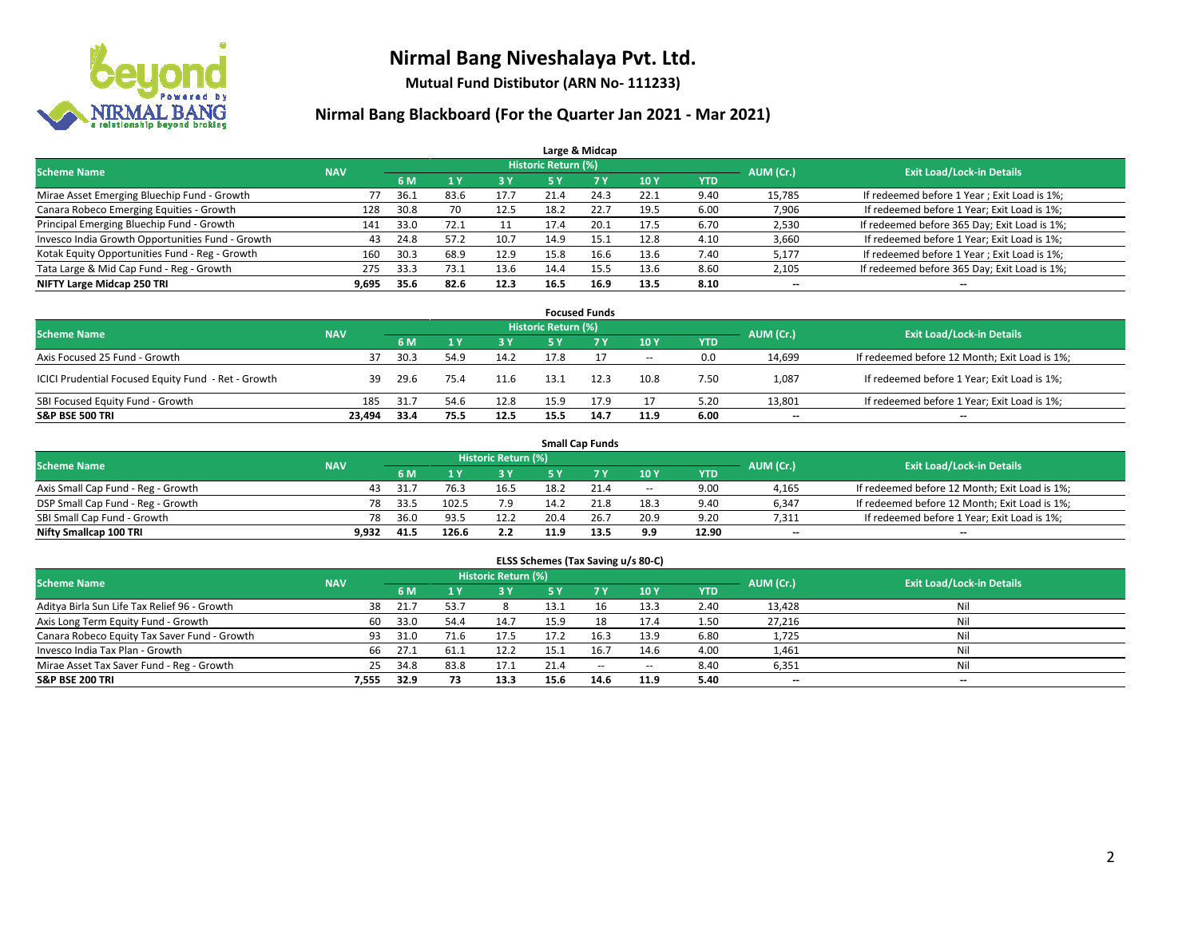

**Mutual Fund Distibutor (ARN No- 111233)**

| Large & Midcap                                   |            |      |                |      |                            |                |      |            |           |                                              |  |  |  |  |
|--------------------------------------------------|------------|------|----------------|------|----------------------------|----------------|------|------------|-----------|----------------------------------------------|--|--|--|--|
| <b>Scheme Name</b>                               | <b>NAV</b> |      |                |      | <b>Historic Return (%)</b> |                |      |            | AUM (Cr.) | <b>Exit Load/Lock-in Details</b>             |  |  |  |  |
|                                                  |            | 6 M  | 1 <sub>V</sub> | 3 Y  | <b>5 Y</b>                 | 7 <sup>V</sup> | 10Y  | <b>YTD</b> |           |                                              |  |  |  |  |
| Mirae Asset Emerging Bluechip Fund - Growth      | 77         | 36.1 | 83.6           | 17.7 | 21.4                       | 24.3           | 22.1 | 9.40       | 15,785    | If redeemed before 1 Year; Exit Load is 1%;  |  |  |  |  |
| Canara Robeco Emerging Equities - Growth         | 128        | 30.8 | 70             | 12.5 | 18.2                       | 22.7           | 19.5 | 6.00       | 7,906     | If redeemed before 1 Year; Exit Load is 1%;  |  |  |  |  |
| Principal Emerging Bluechip Fund - Growth        | 141        | 33.0 | 72.1           |      | 17.4                       | 20.1           | 17.5 | 6.70       | 2,530     | If redeemed before 365 Day; Exit Load is 1%; |  |  |  |  |
| Invesco India Growth Opportunities Fund - Growth | 43         | 24.8 | 57.2           | 10.7 | 14.9                       | 15.1           | 12.8 | 4.10       | 3,660     | If redeemed before 1 Year; Exit Load is 1%;  |  |  |  |  |
| Kotak Equity Opportunities Fund - Reg - Growth   | 160        | 30.3 | 68.9           | 12.9 | 15.8                       | 16.6           | 13.6 | 7.40       | 5,177     | If redeemed before 1 Year; Exit Load is 1%;  |  |  |  |  |
| Tata Large & Mid Cap Fund - Reg - Growth         | 275        | 33.3 | 73.1           | 13.6 | 14.4                       | 15.5           | 13.6 | 8.60       | 2,105     | If redeemed before 365 Day; Exit Load is 1%; |  |  |  |  |
| NIFTY Large Midcap 250 TRI                       | 9,695      | 35.6 | 82.6           | 12.3 | 16.5                       | 16.9           | 13.5 | 8.10       | --        | --                                           |  |  |  |  |

|                                                     |            |                                  |      |      |      | <b>Focused Funds</b> |            |            |        |                                               |
|-----------------------------------------------------|------------|----------------------------------|------|------|------|----------------------|------------|------------|--------|-----------------------------------------------|
| <b>Scheme Name</b>                                  | AUM (Cr.)  | <b>Exit Load/Lock-in Details</b> |      |      |      |                      |            |            |        |                                               |
|                                                     | <b>NAV</b> | 6 M                              |      | 3 Y  | 5 Y  |                      | <b>10Y</b> | <b>YTD</b> |        |                                               |
| Axis Focused 25 Fund - Growth                       | 37         | 30.3                             | 54.9 | 14.2 | 17.8 |                      | $\sim$     | 0.0        | 14,699 | If redeemed before 12 Month; Exit Load is 1%; |
| ICICI Prudential Focused Equity Fund - Ret - Growth | 39         | 29.6                             | 75.4 | 11.6 | 13.1 | 12.3                 | 10.8       | 7.50       | 1,087  | If redeemed before 1 Year; Exit Load is 1%;   |
| SBI Focused Equity Fund - Growth                    | 185        | 31.7                             | 54.6 | 12.8 | 15.9 | 17.9                 | 17         | 5.20       | 13,801 | If redeemed before 1 Year; Exit Load is 1%;   |
| <b>S&amp;P BSE 500 TRI</b>                          | 23.494     | 33.4                             | 75.5 | 12.5 | 15.5 | 14.7                 | 11.9       | 6.00       | $- -$  | $\overline{\phantom{a}}$                      |

| <b>Small Cap Funds</b>             |            |           |                                  |            |      |      |                          |       |       |                                               |  |  |  |
|------------------------------------|------------|-----------|----------------------------------|------------|------|------|--------------------------|-------|-------|-----------------------------------------------|--|--|--|
| <b>Scheme Name</b>                 | <b>NAV</b> | AUM (Cr.) | <b>Exit Load/Lock-in Details</b> |            |      |      |                          |       |       |                                               |  |  |  |
|                                    |            | 6 M       |                                  | <b>3 Y</b> |      |      | 10Y                      | YTD   |       |                                               |  |  |  |
| Axis Small Cap Fund - Reg - Growth | 43         | 31.       |                                  | 16.5       | 18.2 | 21.4 | $\overline{\phantom{a}}$ | 9.00  | 4,165 | If redeemed before 12 Month; Exit Load is 1%; |  |  |  |
| DSP Small Cap Fund - Reg - Growth  | 78         | 33.5      | 102.5                            | 7.9        | 14.2 | 21.8 | 18.3                     | 9.40  | 6,347 | If redeemed before 12 Month; Exit Load is 1%; |  |  |  |
| SBI Small Cap Fund - Growth        | 78         | 36.0      | 93.5                             | 12.2       | 20.4 | 26.7 | 20.9                     | 9.20  | 7,311 | If redeemed before 1 Year; Exit Load is 1%;   |  |  |  |
| Nifty Smallcap 100 TRI             | 9.932      | 41.5      | 126.6                            | 2.2        | 11.9 | 13.5 | 9.9                      | 12.90 | $- -$ | $\overline{\phantom{a}}$                      |  |  |  |

| ELSS Schemes (Tax Saving u/s 80-C)           |            |                                  |                |      |           |            |            |            |        |                          |  |  |  |
|----------------------------------------------|------------|----------------------------------|----------------|------|-----------|------------|------------|------------|--------|--------------------------|--|--|--|
| <b>Scheme Name</b>                           | AUM (Cr.)  | <b>Exit Load/Lock-in Details</b> |                |      |           |            |            |            |        |                          |  |  |  |
|                                              | <b>NAV</b> | 6 M                              | 1 <sup>1</sup> | 3 Y  | <b>5Y</b> | <b>7 Y</b> | <b>10Y</b> | <b>YTD</b> |        |                          |  |  |  |
| Aditya Birla Sun Life Tax Relief 96 - Growth | 38         | 21.7                             | 53.7           |      | 13.1      | 16         | 13.3       | 2.40       | 13,428 | Nil                      |  |  |  |
| Axis Long Term Equity Fund - Growth          | 60         | 33.0                             | 54.4           | 14.7 | 15.9      | 18         | 17.4       | 1.50       | 27,216 | Nil                      |  |  |  |
| Canara Robeco Equity Tax Saver Fund - Growth | 93         | 31.0                             | 71.6           | 17.5 | 17.2      | 16.3       | 13.9       | 6.80       | 1,725  | Nil                      |  |  |  |
| Invesco India Tax Plan - Growth              | 66         | 27.1                             | 61.1           | 12.2 | 15.1      | 16.7       | 14.6       | 4.00       | 1,461  | Nil                      |  |  |  |
| Mirae Asset Tax Saver Fund - Reg - Growth    | 25         | 34.8                             | 83.8           | 17.1 | 21.4      | $\sim$     | $\!-$      | 8.40       | 6,351  | Nil                      |  |  |  |
| S&P BSE 200 TRI                              | 7.555      | 32.9                             | 73             | 13.3 | 15.6      | 14.6       | 11.9       | 5.40       | $- -$  | $\overline{\phantom{a}}$ |  |  |  |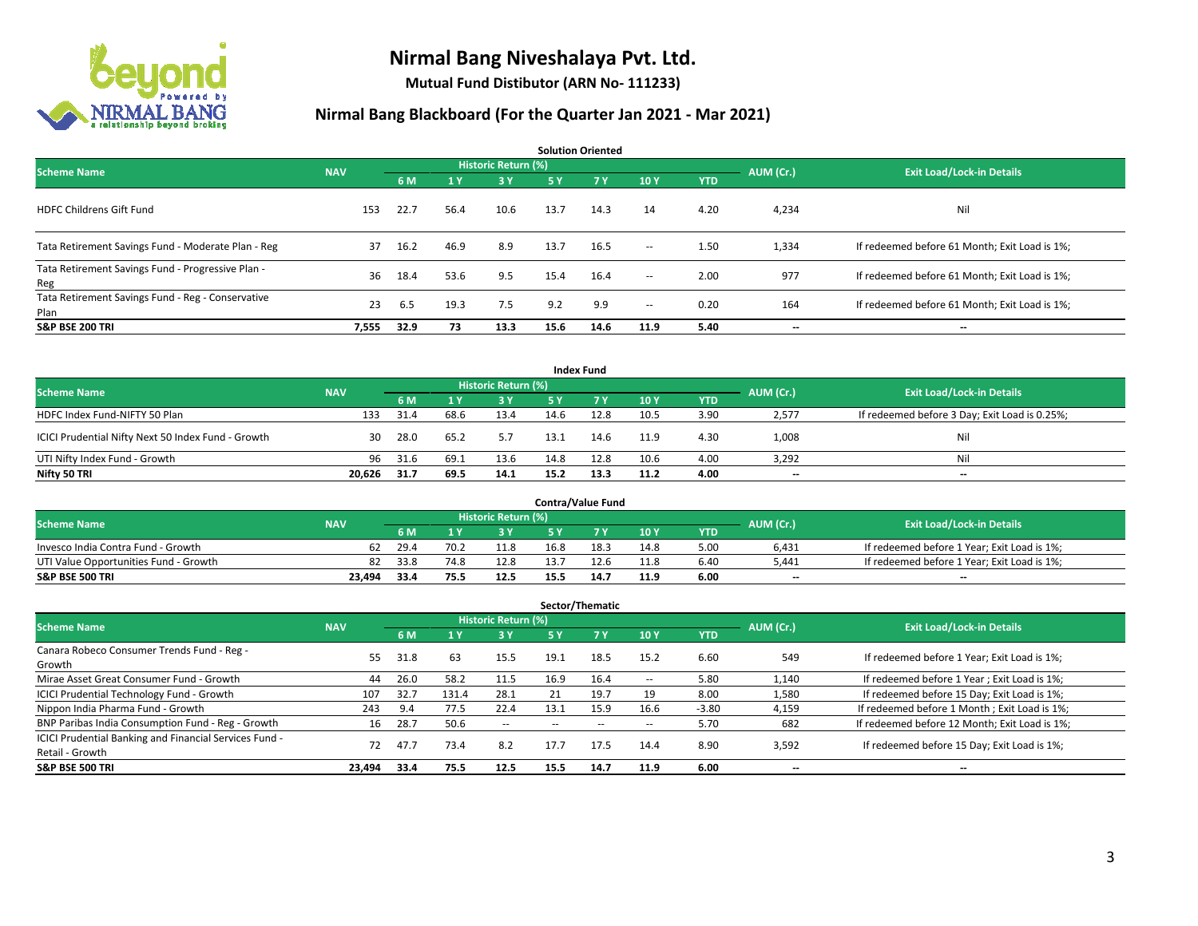

**Mutual Fund Distibutor (ARN No- 111233)**

| <b>Solution Oriented</b>                                  |            |      |      |                            |      |      |                          |            |           |                                               |  |  |  |
|-----------------------------------------------------------|------------|------|------|----------------------------|------|------|--------------------------|------------|-----------|-----------------------------------------------|--|--|--|
| <b>Scheme Name</b>                                        | <b>NAV</b> |      |      | <b>Historic Return (%)</b> |      |      |                          |            | AUM (Cr.) | <b>Exit Load/Lock-in Details</b>              |  |  |  |
|                                                           |            | 6 M  | 1Y   | 3 Y                        | 5 Y  | 7Y   | 10Y                      | <b>YTD</b> |           |                                               |  |  |  |
| <b>HDFC Childrens Gift Fund</b>                           | 153        | 22.7 | 56.4 | 10.6                       | 13.7 | 14.3 | 14                       | 4.20       | 4,234     | Nil                                           |  |  |  |
| Tata Retirement Savings Fund - Moderate Plan - Reg        | 37         | 16.2 | 46.9 | 8.9                        | 13.7 | 16.5 | $\sim$                   | 1.50       | 1,334     | If redeemed before 61 Month; Exit Load is 1%; |  |  |  |
| Tata Retirement Savings Fund - Progressive Plan -<br>Reg  | 36         | 18.4 | 53.6 | 9.5                        | 15.4 | 16.4 | $\sim$                   | 2.00       | 977       | If redeemed before 61 Month; Exit Load is 1%; |  |  |  |
| Tata Retirement Savings Fund - Reg - Conservative<br>Plan | 23         | 6.5  | 19.3 | 7.5                        | 9.2  | 9.9  | $\overline{\phantom{a}}$ | 0.20       | 164       | If redeemed before 61 Month; Exit Load is 1%; |  |  |  |
| <b>S&amp;P BSE 200 TRI</b>                                | 7,555      | 32.9 | 73   | 13.3                       | 15.6 | 14.6 | 11.9                     | 5.40       | --        | $\hspace{0.05cm}$                             |  |  |  |

|                                                    |            |      |      |                     |      | <b>Index Fund</b> |      |            |           |                                               |
|----------------------------------------------------|------------|------|------|---------------------|------|-------------------|------|------------|-----------|-----------------------------------------------|
| <b>Scheme Name</b>                                 | <b>NAV</b> |      |      | Historic Return (%) |      |                   |      |            | AUM (Cr.) | <b>Exit Load/Lock-in Details</b>              |
|                                                    |            | 6 M  |      | 3 Y                 | 5 Y  | 7Y                | 10Y  | <b>YTD</b> |           |                                               |
| HDFC Index Fund-NIFTY 50 Plan                      | 133        | 31.4 | 68.6 | 13.4                | 14.6 | 12.8              | 10.5 | 3.90       | 2,577     | If redeemed before 3 Day; Exit Load is 0.25%; |
| ICICI Prudential Nifty Next 50 Index Fund - Growth | 30         | 28.0 | 65.2 | 5.7                 | 13.1 | 14.6              | 11.9 | 4.30       | 1,008     | Nil                                           |
| UTI Nifty Index Fund - Growth                      | 96         | 31.6 | 69.1 | 13.6                | 14.8 | 12.8              | 10.6 | 4.00       | 3,292     | Nil                                           |
| Nifty 50 TRI                                       | 20.626     | 31.7 | 69.5 | 14.1                | 15.2 | 13.3              | 11.2 | 4.00       | $- -$     | $\overline{\phantom{a}}$                      |

|                                       |            |      |      |                            |      | <b>Contra/Value Fund</b> |      |      |           |                                             |
|---------------------------------------|------------|------|------|----------------------------|------|--------------------------|------|------|-----------|---------------------------------------------|
| <b>Scheme Name</b>                    | <b>NAV</b> |      |      | <b>Historic Return (%)</b> |      |                          |      |      | AUM (Cr.) | <b>Exit Load/Lock-in Details</b>            |
|                                       |            | 6 M  |      | 3 Y                        |      | 7 V                      | 10Y  | YTD  |           |                                             |
| Invesco India Contra Fund - Growth    | 62         | 29.4 | 70.2 | 11.8                       | 16.8 | 18.3                     | 14.8 | 5.00 | 6,431     | If redeemed before 1 Year; Exit Load is 1%; |
| UTI Value Opportunities Fund - Growth | 82         | 33.8 | 74.8 | 12.8                       | 13.7 |                          | 11.8 | 6.40 | 5.441     | If redeemed before 1 Year; Exit Load is 1%; |
| <b>S&amp;P BSE 500 TRI</b>            | 23.494     | 33.4 | 75.5 | 12.5                       | 15.5 | 14.7                     | 11.9 | 6.00 | $- -$     | $- -$                                       |

| Sector/Thematic                                                           |            |      |       |                            |      |      |      |            |           |                                               |  |  |  |
|---------------------------------------------------------------------------|------------|------|-------|----------------------------|------|------|------|------------|-----------|-----------------------------------------------|--|--|--|
| <b>Scheme Name</b>                                                        | <b>NAV</b> |      |       | <b>Historic Return (%)</b> |      |      |      |            | AUM (Cr.) | <b>Exit Load/Lock-in Details</b>              |  |  |  |
|                                                                           |            | 6 M  | 4v    | 3 Y                        | 5 Y  | 7Y   | 10Y  | <b>YTD</b> |           |                                               |  |  |  |
| Canara Robeco Consumer Trends Fund - Reg -<br>Growth                      | 55.        | 31.8 | 63    | 15.5                       | 19.1 | 18.5 | 15.2 | 6.60       | 549       | If redeemed before 1 Year; Exit Load is 1%;   |  |  |  |
| Mirae Asset Great Consumer Fund - Growth                                  | 44         | 26.0 | 58.2  | 11.5                       | 16.9 | 16.4 | --   | 5.80       | 1.140     | If redeemed before 1 Year; Exit Load is 1%;   |  |  |  |
| <b>ICICI Prudential Technology Fund - Growth</b>                          | 107        | 32.7 | 131.4 | 28.1                       | 21   | 19.7 | 19   | 8.00       | 1,580     | If redeemed before 15 Day; Exit Load is 1%;   |  |  |  |
| Nippon India Pharma Fund - Growth                                         | 243        | 9.4  | 77.5  | 22.4                       | 13.1 | 15.9 | 16.6 | $-3.80$    | 4,159     | If redeemed before 1 Month; Exit Load is 1%;  |  |  |  |
| BNP Paribas India Consumption Fund - Reg - Growth                         | 16         | 28.7 | 50.6  | $\overline{\phantom{a}}$   |      |      | --   | 5.70       | 682       | If redeemed before 12 Month; Exit Load is 1%; |  |  |  |
| ICICI Prudential Banking and Financial Services Fund -<br>Retail - Growth | 72         | 47.7 | 73.4  | 8.2                        | 17.7 | 17.5 | 14.4 | 8.90       | 3,592     | If redeemed before 15 Day; Exit Load is 1%;   |  |  |  |
| <b>S&amp;P BSE 500 TRI</b>                                                | 23.494     | 33.4 | 75.5  | 12.5                       | 15.5 | 14.7 | 11.9 | 6.00       | --        | --                                            |  |  |  |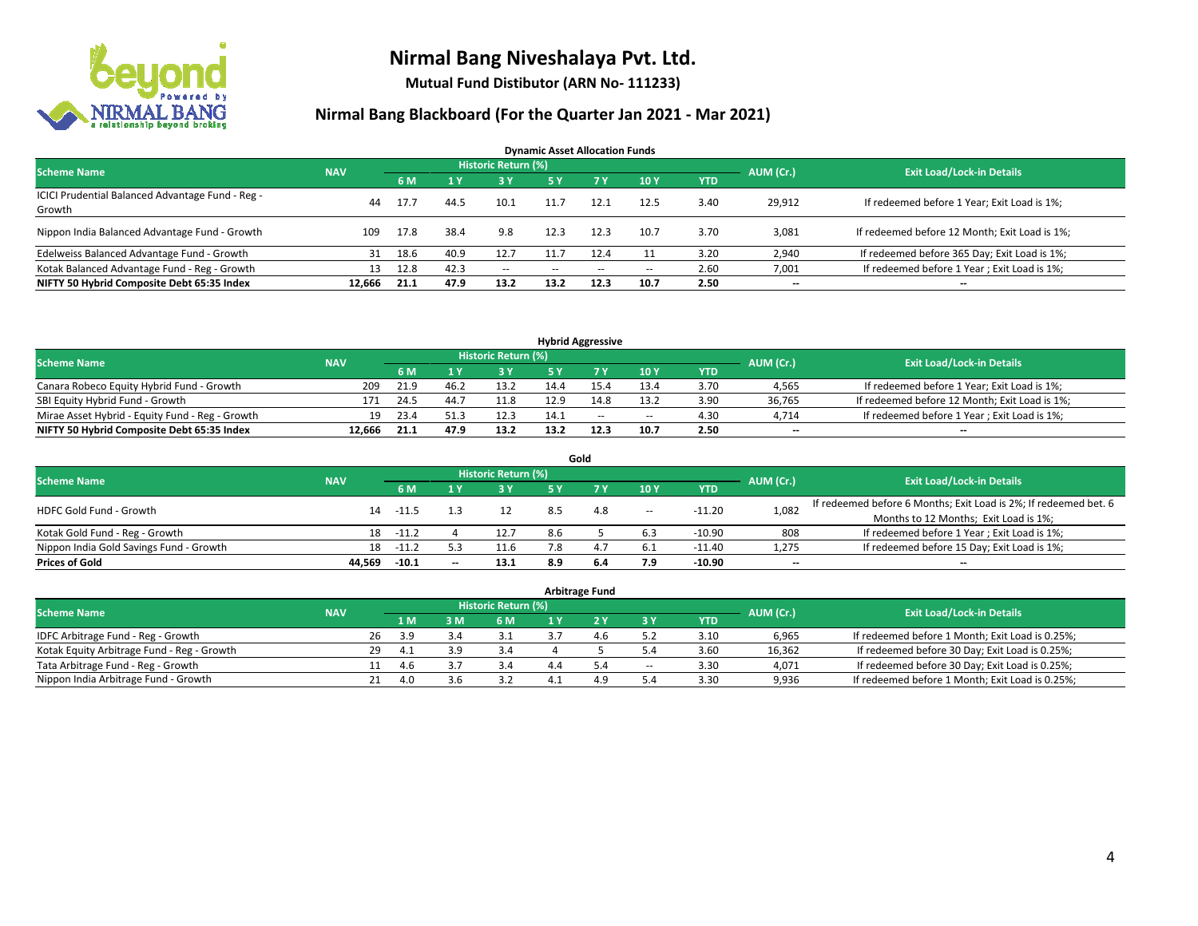

**Mutual Fund Distibutor (ARN No- 111233)**

| <b>Dynamic Asset Allocation Funds</b>                      |            |      |      |                            |            |           |       |            |                          |                                               |  |  |  |
|------------------------------------------------------------|------------|------|------|----------------------------|------------|-----------|-------|------------|--------------------------|-----------------------------------------------|--|--|--|
| <b>Scheme Name</b>                                         | <b>NAV</b> |      |      | <b>Historic Return (%)</b> |            |           |       |            | AUM (Cr.)                | <b>Exit Load/Lock-in Details</b>              |  |  |  |
|                                                            |            | 6 M  |      | 73 Y                       | <b>5 Y</b> | <b>7Y</b> | 10Y   | <b>YTD</b> |                          |                                               |  |  |  |
| ICICI Prudential Balanced Advantage Fund - Reg -<br>Growth | 44         | 17.7 | 44.5 | 10.1                       | 11.7       | 12.1      | 12.5  | 3.40       | 29,912                   | If redeemed before 1 Year; Exit Load is 1%;   |  |  |  |
| Nippon India Balanced Advantage Fund - Growth              | 109        | 17.8 | 38.4 | 9.8                        | 12.3       | 12.3      | 10.7  | 3.70       | 3,081                    | If redeemed before 12 Month; Exit Load is 1%; |  |  |  |
| Edelweiss Balanced Advantage Fund - Growth                 | 31         | 18.6 | 40.9 | 12.7                       | 11.7       | 12.4      |       | 3.20       | 2,940                    | If redeemed before 365 Day; Exit Load is 1%;  |  |  |  |
| Kotak Balanced Advantage Fund - Reg - Growth               | 13         | 12.8 | 42.3 | $\sim$                     | --         | $\sim$    | $\!-$ | 2.60       | 7,001                    | If redeemed before 1 Year; Exit Load is 1%;   |  |  |  |
| NIFTY 50 Hybrid Composite Debt 65:35 Index                 | 12.666     | 21.1 | 47.9 | 13.2                       | 13.2       | 12.3      | 10.7  | 2.50       | $\overline{\phantom{a}}$ | $- -$                                         |  |  |  |

| <b>Hybrid Aggressive</b>                        |            |       |        |                     |      |        |        |            |           |                                               |  |  |  |
|-------------------------------------------------|------------|-------|--------|---------------------|------|--------|--------|------------|-----------|-----------------------------------------------|--|--|--|
| <b>Scheme Name</b>                              | <b>NAV</b> |       |        | Historic Return (%) |      |        |        |            | AUM (Cr.) | <b>Exit Load/Lock-in Details</b>              |  |  |  |
|                                                 |            | 6 M   |        | 3 Y                 |      |        | 10Y    | <b>YTD</b> |           |                                               |  |  |  |
| Canara Robeco Equity Hybrid Fund - Growth       | 209        | 21.9  | 46.∠   | 13.2                | 14.4 |        | 13.4   | 3.70       | 4,565     | If redeemed before 1 Year; Exit Load is 1%;   |  |  |  |
| SBI Equity Hybrid Fund - Growth                 | 171        | -24.5 | $44 -$ | 11.8                | 12.9 |        | 13.2   | 3.90       | 36.765    | If redeemed before 12 Month; Exit Load is 1%; |  |  |  |
| Mirae Asset Hybrid - Equity Fund - Reg - Growth | 19         | 23.4  |        | 12.3                | 14.1 | $\sim$ | $\sim$ | 4.30       | 4.714     | If redeemed before 1 Year; Exit Load is 1%;   |  |  |  |
| NIFTY 50 Hybrid Composite Debt 65:35 Index      | 12.666     | 21.1  | 47.9   | 13.2                | 13.2 | 12.3   | 10.7   | 2.50       | $-$       | $- -$                                         |  |  |  |

| Gold                                    |            |         |       |                     |     |     |       |          |                          |                                                                  |  |  |  |  |
|-----------------------------------------|------------|---------|-------|---------------------|-----|-----|-------|----------|--------------------------|------------------------------------------------------------------|--|--|--|--|
| <b>Scheme Name</b>                      | <b>NAV</b> |         |       | Historic Return (%) |     |     |       |          | AUM (Cr.)                | <b>Exit Load/Lock-in Details</b>                                 |  |  |  |  |
|                                         |            | 6 M     |       | 3 Y                 | 5 Y |     | 10Y   | YTD      |                          |                                                                  |  |  |  |  |
| <b>HDFC Gold Fund - Growth</b>          | 14         | $-11.5$ |       |                     |     | 4.8 | $\!-$ | $-11.20$ | 1,082                    | If redeemed before 6 Months; Exit Load is 2%; If redeemed bet. 6 |  |  |  |  |
|                                         |            |         |       |                     |     |     |       |          |                          | Months to 12 Months; Exit Load is 1%;                            |  |  |  |  |
| Kotak Gold Fund - Reg - Growth          | 18         | $-11.2$ |       | 12.7                | 8.6 |     | 6.3   | $-10.90$ | 808                      | If redeemed before 1 Year; Exit Load is 1%;                      |  |  |  |  |
| Nippon India Gold Savings Fund - Growth | 18         | $-11.2$ |       | 11.6                |     |     | 6.1   | -11.40   | 1,275                    | If redeemed before 15 Day; Exit Load is 1%;                      |  |  |  |  |
| <b>Prices of Gold</b>                   | 44.569     | $-10.1$ | $- -$ | 13.1                | 8.9 | 6.4 | 7.9   | $-10.90$ | $\overline{\phantom{a}}$ | --                                                               |  |  |  |  |

| <b>Arbitrage Fund</b>                      |            |    |      |     |                     |  |     |                          |            |           |                                                 |  |  |
|--------------------------------------------|------------|----|------|-----|---------------------|--|-----|--------------------------|------------|-----------|-------------------------------------------------|--|--|
| <b>Scheme Name</b>                         | <b>NAV</b> |    |      |     | Historic Return (%) |  |     |                          |            | AUM (Cr.) | <b>Exit Load/Lock-in Details</b>                |  |  |
|                                            |            |    | 1 M  | 3 M | 6 M                 |  |     | 3 Y                      | <b>YTD</b> |           |                                                 |  |  |
| IDFC Arbitrage Fund - Reg - Growth         |            | 26 | -3.9 |     | 3.1                 |  | 4.6 |                          | 3.10       | 6,965     | If redeemed before 1 Month; Exit Load is 0.25%; |  |  |
| Kotak Equity Arbitrage Fund - Reg - Growth |            | 29 |      | 3.9 | 3.4                 |  |     | 5.4                      | 3.60       | 16,362    | If redeemed before 30 Day; Exit Load is 0.25%;  |  |  |
| Tata Arbitrage Fund - Reg - Growth         |            |    | 4.b  |     | 3.4                 |  | 5.4 | $\overline{\phantom{a}}$ | 3.30       | 4,071     | If redeemed before 30 Day; Exit Load is 0.25%;  |  |  |
| Nippon India Arbitrage Fund - Growth       |            |    |      | 3.6 | 3.2                 |  | 4.9 | 5.4                      | 3.30       | 9,936     | If redeemed before 1 Month; Exit Load is 0.25%; |  |  |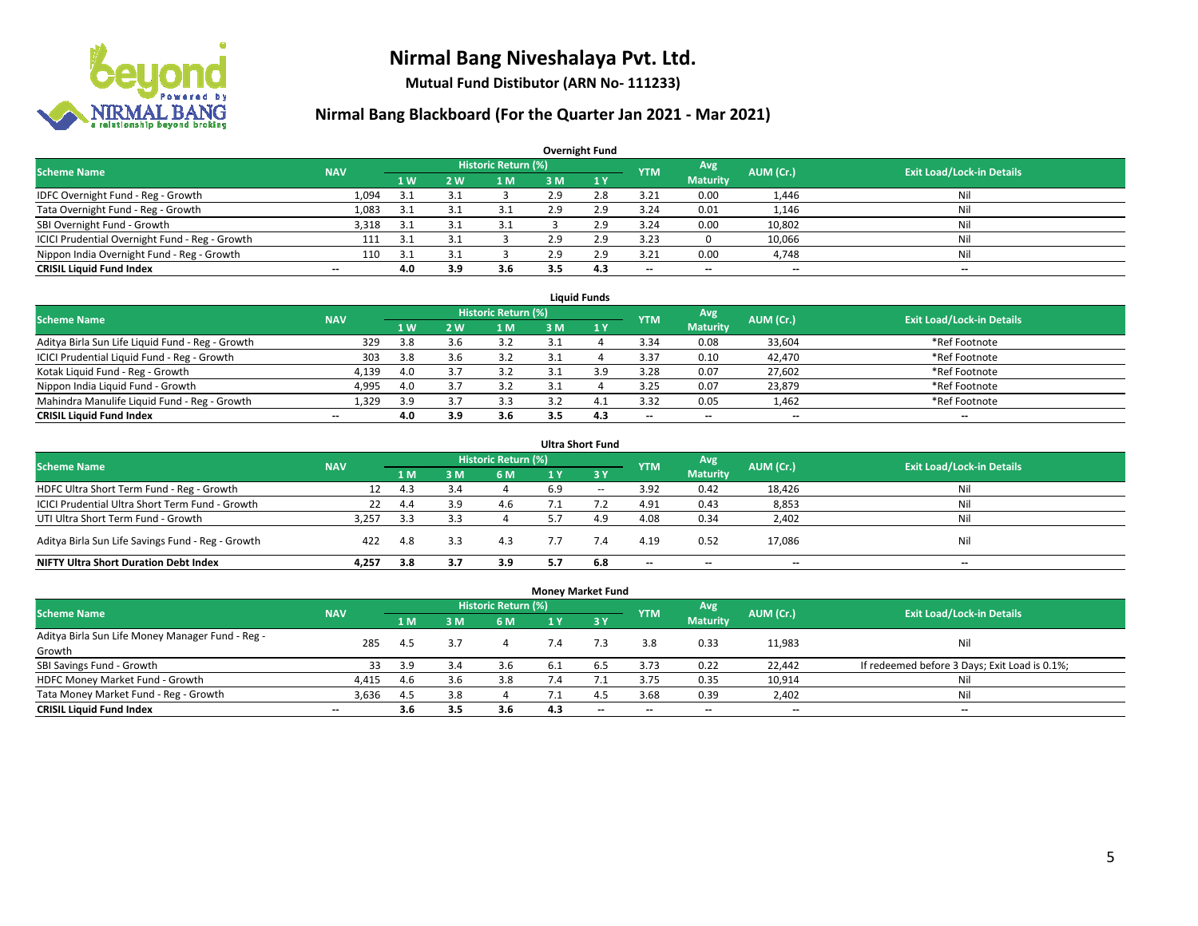

**Mutual Fund Distibutor (ARN No- 111233)**

| <b>Overnight Fund</b>                          |                          |     |     |                            |     |              |                          |                          |           |                                  |  |  |  |  |
|------------------------------------------------|--------------------------|-----|-----|----------------------------|-----|--------------|--------------------------|--------------------------|-----------|----------------------------------|--|--|--|--|
| <b>Scheme Name</b>                             | <b>NAV</b>               |     |     | <b>Historic Return (%)</b> |     |              | <b>YTM</b>               | Avg                      | AUM (Cr.) | <b>Exit Load/Lock-in Details</b> |  |  |  |  |
|                                                |                          | 1W  | 2 W | l M                        | 3 M | $\sqrt{1}$ Y |                          | <b>Maturity</b>          |           |                                  |  |  |  |  |
| IDFC Overnight Fund - Reg - Growth             | 1,094                    | 3.1 |     |                            | 2.9 | 2.8          | 3.21                     | 0.00                     | 1,446     | Nil                              |  |  |  |  |
| Tata Overnight Fund - Reg - Growth             | 1,083                    | 3.1 | 3.1 | 3.1                        | 2.9 | 2.9          | 3.24                     | 0.01                     | 1,146     | Nil                              |  |  |  |  |
| SBI Overnight Fund - Growth                    | 3,318                    | 3.1 | 3.1 | 3.1                        |     | 2.9          | 3.24                     | 0.00                     | 10,802    | Nil                              |  |  |  |  |
| ICICI Prudential Overnight Fund - Reg - Growth | 111                      | 3.1 |     |                            | 2.9 | 2.9          | 3.23                     |                          | 10,066    | Nil                              |  |  |  |  |
| Nippon India Overnight Fund - Reg - Growth     | 110                      | 3.1 |     |                            | 2.9 | 2.9          | 3.21                     | 0.00                     | 4,748     | Nil                              |  |  |  |  |
| <b>CRISIL Liquid Fund Index</b>                | $\overline{\phantom{a}}$ | 4.0 | 3.9 | 3.6                        |     | 4.3          | $\overline{\phantom{a}}$ | $\overline{\phantom{a}}$ | $- -$     | $-$                              |  |  |  |  |

| <b>Liauid Funds</b>                              |            |     |            |                     |    |     |                          |                          |           |                                  |  |  |  |
|--------------------------------------------------|------------|-----|------------|---------------------|----|-----|--------------------------|--------------------------|-----------|----------------------------------|--|--|--|
| <b>Scheme Name</b>                               | <b>NAV</b> |     |            | Historic Return (%) |    |     | <b>YTM</b>               | Avg                      | AUM (Cr.) | <b>Exit Load/Lock-in Details</b> |  |  |  |
|                                                  |            | 1 W | <b>2 W</b> | 1 M                 | зM |     |                          | <b>Maturity</b>          |           |                                  |  |  |  |
| Aditya Birla Sun Life Liquid Fund - Reg - Growth | 329        | 3.8 |            |                     |    |     | 3.34                     | 0.08                     | 33,604    | *Ref Footnote                    |  |  |  |
| ICICI Prudential Liquid Fund - Reg - Growth      | 303        | 3.8 |            | 3.2                 |    |     | 3.37                     | 0.10                     | 42,470    | *Ref Footnote                    |  |  |  |
| Kotak Liquid Fund - Reg - Growth                 | 4,139      | 4.0 |            |                     |    | ιq  | 3.28                     | 0.07                     | 27,602    | *Ref Footnote                    |  |  |  |
| Nippon India Liquid Fund - Growth                | 4,995      | 4.0 |            |                     |    |     | 3.25                     | 0.07                     | 23,879    | *Ref Footnote                    |  |  |  |
| Mahindra Manulife Liquid Fund - Reg - Growth     | 1,329      | 3.9 |            | 3.3                 |    |     | 3.32                     | 0.05                     | 1,462     | *Ref Footnote                    |  |  |  |
| <b>CRISIL Liquid Fund Index</b>                  | $- -$      | 4.0 | 3.9        | 3.6                 |    | 4.3 | $\overline{\phantom{a}}$ | $\overline{\phantom{a}}$ | $- -$     | $\overline{\phantom{a}}$         |  |  |  |

| <b>Ultra Short Fund</b>                           |            |     |     |                            |     |              |                          |                          |                          |                                  |  |  |  |
|---------------------------------------------------|------------|-----|-----|----------------------------|-----|--------------|--------------------------|--------------------------|--------------------------|----------------------------------|--|--|--|
| <b>Scheme Name</b>                                | <b>NAV</b> |     |     | <b>Historic Return (%)</b> |     |              | <b>YTM</b>               | Avg                      | AUM (Cr.)                | <b>Exit Load/Lock-in Details</b> |  |  |  |
|                                                   |            | 1 M | sм  | 6 M                        | 1 Y | $\sqrt{3}$ Y |                          | <b>Maturity</b>          |                          |                                  |  |  |  |
| HDFC Ultra Short Term Fund - Reg - Growth         | 12         | 4.3 | 3.4 |                            | 6.9 | $\sim$       | 3.92                     | 0.42                     | 18,426                   | Nil                              |  |  |  |
| ICICI Prudential Ultra Short Term Fund - Growth   | 22         | 4.4 |     | 4.6                        |     |              | 4.91                     | 0.43                     | 8,853                    | Nil                              |  |  |  |
| UTI Ultra Short Term Fund - Growth                | 3,257      | 3.3 |     |                            |     | 4.9          | 4.08                     | 0.34                     | 2,402                    | Nil                              |  |  |  |
| Aditya Birla Sun Life Savings Fund - Reg - Growth | 422        | 4.8 | 3.3 | 4.3                        |     | 7.4          | 4.19                     | 0.52                     | 17,086                   | Nil                              |  |  |  |
| <b>NIFTY Ultra Short Duration Debt Index</b>      | 4.257      | 3.8 |     | 3.9                        | 5.7 | 6.8          | $\overline{\phantom{a}}$ | $\overline{\phantom{a}}$ | $\overline{\phantom{a}}$ | $-$                              |  |  |  |

| <b>Money Market Fund</b>                         |                          |                |                |                            |     |           |                          |                          |           |                                               |  |  |  |  |
|--------------------------------------------------|--------------------------|----------------|----------------|----------------------------|-----|-----------|--------------------------|--------------------------|-----------|-----------------------------------------------|--|--|--|--|
| <b>Scheme Name</b>                               | <b>NAV</b>               |                |                | <b>Historic Return (%)</b> |     |           | <b>YTM</b>               | Avg                      | AUM (Cr.) | <b>Exit Load/Lock-in Details</b>              |  |  |  |  |
|                                                  |                          | 1 <sub>M</sub> | 3 <sub>M</sub> | 6 M                        | 1 Y | $Z$ 3 $V$ |                          | <b>Maturity</b>          |           |                                               |  |  |  |  |
| Aditya Birla Sun Life Money Manager Fund - Reg - | 285                      | 4.5            | 3.7            |                            | 7.4 | 7.3       | 3.8                      | 0.33                     | 11,983    | Nil                                           |  |  |  |  |
| Growth                                           |                          |                |                |                            |     |           |                          |                          |           |                                               |  |  |  |  |
| SBI Savings Fund - Growth                        | 33                       | 3.9            | 3.4            | 3.6                        |     |           | 3.73                     | 0.22                     | 22,442    | If redeemed before 3 Days; Exit Load is 0.1%; |  |  |  |  |
| HDFC Money Market Fund - Growth                  | 4,415                    | -4.6           | 3.6            | 3.8                        |     |           | 3.75                     | 0.35                     | 10,914    | Nil                                           |  |  |  |  |
| Tata Money Market Fund - Reg - Growth            | 3,636                    | 4.5            | 3.8            |                            |     | 4.5       | 3.68                     | 0.39                     | 2,402     | Nil                                           |  |  |  |  |
| <b>CRISIL Liquid Fund Index</b>                  | $\overline{\phantom{a}}$ | 3.6            | 3.5            | 3.6                        | 4.3 | $-$       | $\overline{\phantom{a}}$ | $\overline{\phantom{a}}$ | $- -$     | $\overline{\phantom{a}}$                      |  |  |  |  |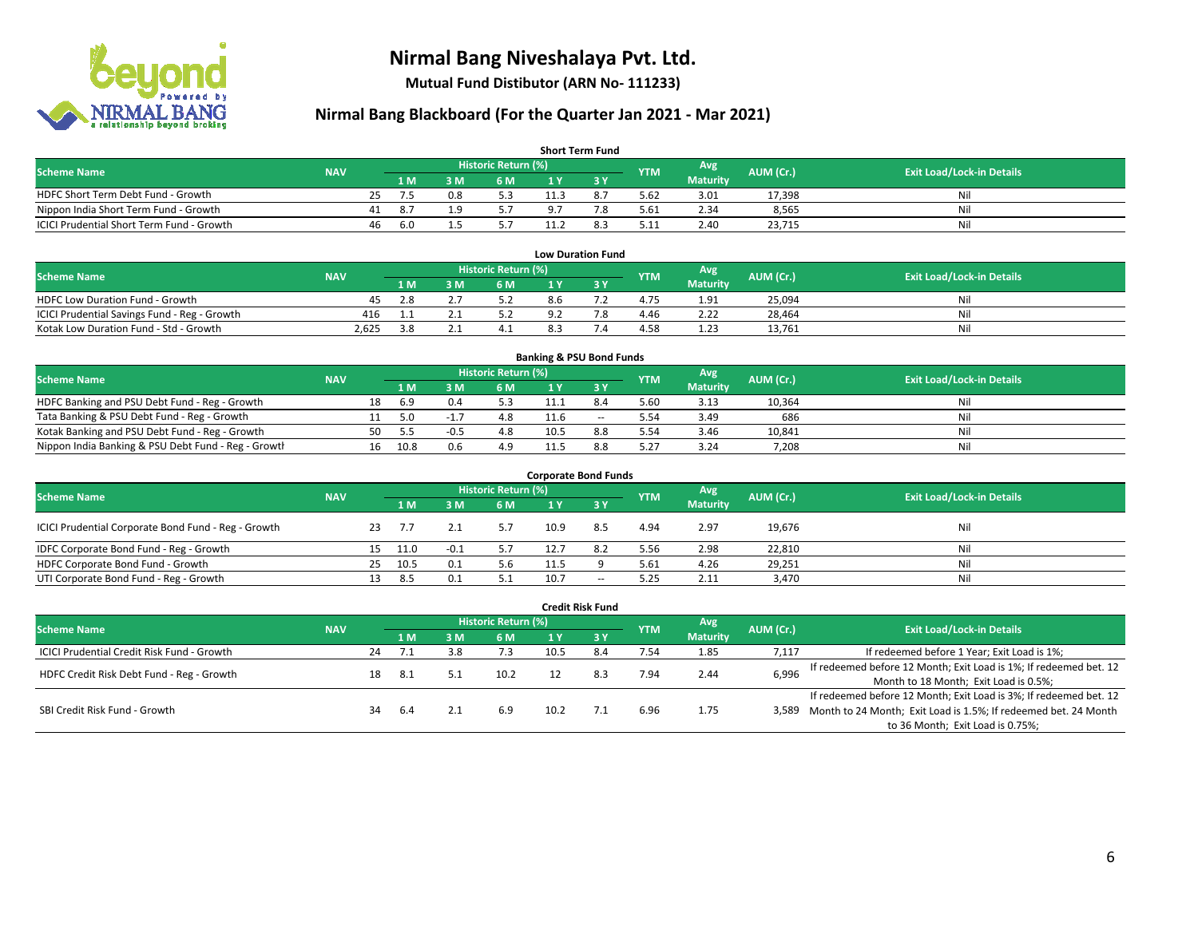

**Mutual Fund Distibutor (ARN No- 111233)**

| <b>Short Term Fund</b>                           |            |    |                |     |                     |                |     |            |                  |           |                                  |  |  |  |
|--------------------------------------------------|------------|----|----------------|-----|---------------------|----------------|-----|------------|------------------|-----------|----------------------------------|--|--|--|
| <b>Scheme Name</b>                               | <b>NAV</b> |    |                |     | Historic Return (%) |                |     | <b>YTM</b> | Avg <sup>1</sup> | AUM (Cr.) | <b>Exit Load/Lock-in Details</b> |  |  |  |
|                                                  |            |    | 1 <sub>M</sub> | 3 M | 6 M                 |                |     |            | <b>Maturity</b>  |           |                                  |  |  |  |
| HDFC Short Term Debt Fund - Growth               |            | 25 |                | 0.8 | 5.3                 |                | 8.7 | 5.62       | 3.01             | 17,398    | Ni                               |  |  |  |
| Nippon India Short Term Fund - Growth            |            | 41 | -8.7           | 1 Q | 5.7                 | Q <sub>7</sub> | 7.8 | 5.61       | 2.34             | 8,565     | Ni                               |  |  |  |
| <b>ICICI Prudential Short Term Fund - Growth</b> |            | 46 | 6.0            |     |                     |                | 8.3 | 5.11       | 2.40             | 23,715    | Nil                              |  |  |  |

| <b>Low Duration Fund</b>                     |            |     |    |                      |                 |  |            |      |           |                                  |  |  |  |  |
|----------------------------------------------|------------|-----|----|----------------------|-----------------|--|------------|------|-----------|----------------------------------|--|--|--|--|
| <b>Scheme Name</b>                           | <b>NAV</b> |     |    | Historic Return (%)' |                 |  | <b>YTM</b> | Avg  | AUM (Cr.) | <b>Exit Load/Lock-in Details</b> |  |  |  |  |
|                                              |            | 1 M | ١M | 6 M                  | <b>Maturity</b> |  |            |      |           |                                  |  |  |  |  |
| <b>HDFC Low Duration Fund - Growth</b>       | 45         |     |    | 5.2                  | 8.6             |  | 4.75       | 1.91 | 25,094    | Nil                              |  |  |  |  |
| ICICI Prudential Savings Fund - Reg - Growth | 416        |     |    | 52                   | a ว             |  | 4.46       | 2.22 | 28,464    | Nil                              |  |  |  |  |
| Kotak Low Duration Fund - Std - Growth       | 2,625      | 3.8 |    |                      |                 |  | 4.58       | 1.23 | 13.761    | Nil                              |  |  |  |  |

| <b>Banking &amp; PSU Bond Funds</b>                 |            |    |      |        |                     |      |        |            |                 |           |                                  |  |  |  |
|-----------------------------------------------------|------------|----|------|--------|---------------------|------|--------|------------|-----------------|-----------|----------------------------------|--|--|--|
| <b>Scheme Name</b>                                  | <b>NAV</b> |    |      |        | Historic Return (%) |      |        | <b>YTM</b> | Avg             | AUM (Cr.) | <b>Exit Load/Lock-in Details</b> |  |  |  |
|                                                     |            |    | 1 M  | . M    | <b>6M</b>           |      |        |            | <b>Maturity</b> |           |                                  |  |  |  |
| HDFC Banking and PSU Debt Fund - Reg - Growth       |            | 18 | 6.9  |        | 5.3                 |      | 8.4    | 5.60       | 3.13            | 10,364    | Nil                              |  |  |  |
| Tata Banking & PSU Debt Fund - Reg - Growth         |            |    | 5.0  | $-1$   |                     |      | $\sim$ | 5.54       | 3.49            | 686       | Nil                              |  |  |  |
| Kotak Banking and PSU Debt Fund - Reg - Growth      |            | 50 |      | $-0.5$ | 4.8                 | 10.5 | 8.8    | 5.54       | 3.46            | 10.841    | Nil                              |  |  |  |
| Nippon India Banking & PSU Debt Fund - Reg - Growth |            | 16 | 10.8 | 0.6    |                     |      | 8.8    | 5.27       | 3.24            | 7,208     | Nil                              |  |  |  |

| <b>Corporate Bond Funds</b>                         |            |    |      |        |                            |      |       |            |                 |           |                                  |  |  |  |
|-----------------------------------------------------|------------|----|------|--------|----------------------------|------|-------|------------|-----------------|-----------|----------------------------------|--|--|--|
| <b>Scheme Name</b>                                  | <b>NAV</b> |    |      |        | <b>Historic Return (%)</b> |      |       | <b>YTM</b> | Avg             | AUM (Cr.) | <b>Exit Load/Lock-in Details</b> |  |  |  |
|                                                     |            |    | 1 M  | M      | 6 M                        | 1 Y  | 73 Y  |            | <b>Maturity</b> |           |                                  |  |  |  |
| ICICI Prudential Corporate Bond Fund - Reg - Growth |            | 23 |      |        |                            | 10.9 | 8.5   | 4.94       | 2.97            | 19,676    | Nil                              |  |  |  |
| IDFC Corporate Bond Fund - Reg - Growth             |            | 15 | 11.0 | $-0.1$ |                            | 12.7 | 8.2   | 5.56       | 2.98            | 22,810    | Nil                              |  |  |  |
| HDFC Corporate Bond Fund - Growth                   |            | 25 | 10.5 | 0.1    | 5.6                        | 11.5 |       | 5.61       | 4.26            | 29,251    | Nil                              |  |  |  |
| UTI Corporate Bond Fund - Reg - Growth              |            |    | -8.5 | 0.1    |                            | 10.7 | $- -$ | 5.25       | 2.11            | 3,470     | Nil                              |  |  |  |

| Credit Risk Fund                           |            |    |                   |     |                            |      |                               |            |                        |           |                                                                       |  |
|--------------------------------------------|------------|----|-------------------|-----|----------------------------|------|-------------------------------|------------|------------------------|-----------|-----------------------------------------------------------------------|--|
| <b>Scheme Name</b>                         | <b>NAV</b> |    |                   |     | <b>Historic Return (%)</b> |      |                               | <b>YTM</b> | Avg<br><b>Maturity</b> | AUM (Cr.) | <b>Exit Load/Lock-in Details</b>                                      |  |
|                                            |            |    | $\overline{A}$ M/ | : M | 6 M                        | 1 Y  | $\overline{3}$ $\overline{Y}$ |            |                        |           |                                                                       |  |
| ICICI Prudential Credit Risk Fund - Growth |            | 24 |                   | 3.8 | 7.3                        | 10.5 | 8.4                           | 7.54       | 1.85                   | 7,117     | If redeemed before 1 Year; Exit Load is 1%;                           |  |
| HDFC Credit Risk Debt Fund - Reg - Growth  |            | 18 |                   |     | 10.2                       |      | 8.3                           | 7.94       | 2.44                   | 6,996     | If redeemed before 12 Month; Exit Load is 1%; If redeemed bet. 12     |  |
|                                            |            |    | 8.1               |     |                            |      |                               |            |                        |           | Month to 18 Month; Exit Load is 0.5%;                                 |  |
|                                            |            |    |                   |     |                            |      |                               |            |                        |           | If redeemed before 12 Month; Exit Load is 3%; If redeemed bet. 12     |  |
| SBI Credit Risk Fund - Growth              |            | 34 | 6.4               |     | 6.9                        | 10.2 |                               | 6.96       | 1.75                   |           | 3,589 Month to 24 Month; Exit Load is 1.5%; If redeemed bet. 24 Month |  |
|                                            |            |    |                   |     |                            |      |                               |            |                        |           | to 36 Month; Exit Load is 0.75%;                                      |  |